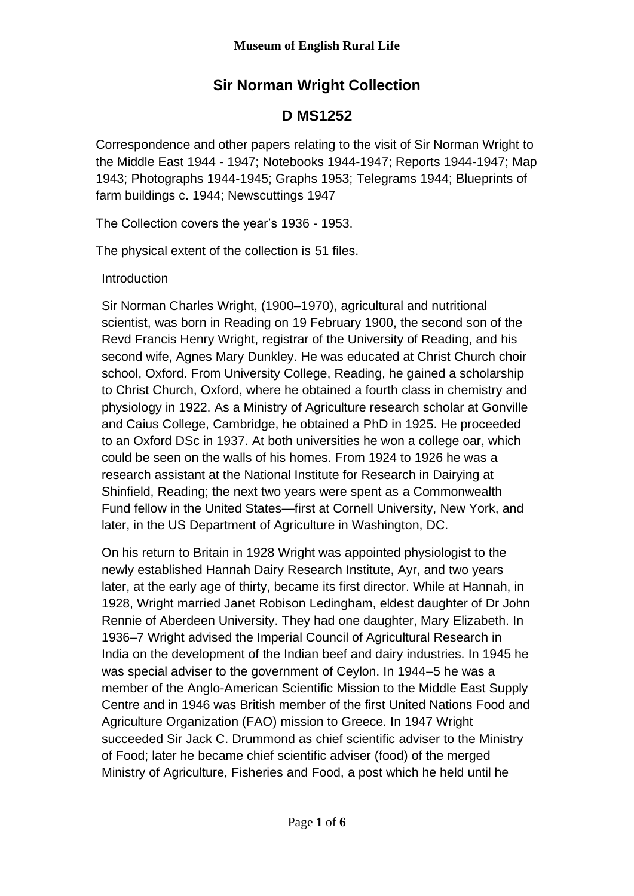# **Sir Norman Wright Collection**

## **D MS1252**

Correspondence and other papers relating to the visit of Sir Norman Wright to the Middle East 1944 - 1947; Notebooks 1944-1947; Reports 1944-1947; Map 1943; Photographs 1944-1945; Graphs 1953; Telegrams 1944; Blueprints of farm buildings c. 1944; Newscuttings 1947

The Collection covers the year's 1936 - 1953.

The physical extent of the collection is 51 files.

Introduction

Sir Norman Charles Wright, (1900–1970), agricultural and nutritional scientist, was born in Reading on 19 February 1900, the second son of the Revd Francis Henry Wright, registrar of the University of Reading, and his second wife, Agnes Mary Dunkley. He was educated at Christ Church choir school, Oxford. From University College, Reading, he gained a scholarship to Christ Church, Oxford, where he obtained a fourth class in chemistry and physiology in 1922. As a Ministry of Agriculture research scholar at Gonville and Caius College, Cambridge, he obtained a PhD in 1925. He proceeded to an Oxford DSc in 1937. At both universities he won a college oar, which could be seen on the walls of his homes. From 1924 to 1926 he was a research assistant at the National Institute for Research in Dairying at Shinfield, Reading; the next two years were spent as a Commonwealth Fund fellow in the United States—first at Cornell University, New York, and later, in the US Department of Agriculture in Washington, DC.

On his return to Britain in 1928 Wright was appointed physiologist to the newly established Hannah Dairy Research Institute, Ayr, and two years later, at the early age of thirty, became its first director. While at Hannah, in 1928, Wright married Janet Robison Ledingham, eldest daughter of Dr John Rennie of Aberdeen University. They had one daughter, Mary Elizabeth. In 1936–7 Wright advised the Imperial Council of Agricultural Research in India on the development of the Indian beef and dairy industries. In 1945 he was special adviser to the government of Ceylon. In 1944–5 he was a member of the Anglo-American Scientific Mission to the Middle East Supply Centre and in 1946 was British member of the first United Nations Food and Agriculture Organization (FAO) mission to Greece. In 1947 Wright succeeded Sir Jack C. Drummond as chief scientific adviser to the Ministry of Food; later he became chief scientific adviser (food) of the merged Ministry of Agriculture, Fisheries and Food, a post which he held until he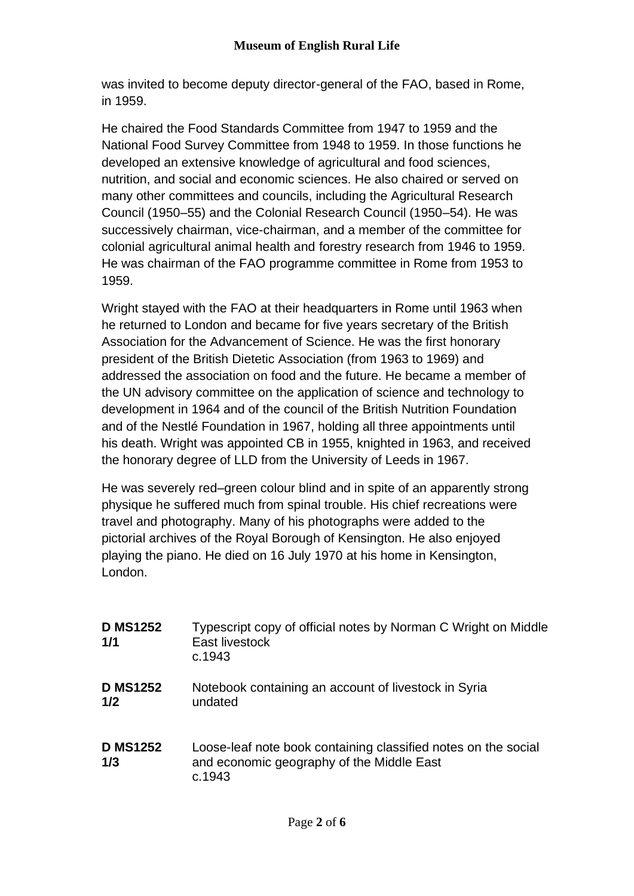was invited to become deputy director-general of the FAO, based in Rome, in 1959.

He chaired the Food Standards Committee from 1947 to 1959 and the National Food Survey Committee from 1948 to 1959. In those functions he developed an extensive knowledge of agricultural and food sciences, nutrition, and social and economic sciences. He also chaired or served on many other committees and councils, including the Agricultural Research Council (1950–55) and the Colonial Research Council (1950–54). He was successively chairman, vice-chairman, and a member of the committee for colonial agricultural animal health and forestry research from 1946 to 1959. He was chairman of the FAO programme committee in Rome from 1953 to 1959.

Wright stayed with the FAO at their headquarters in Rome until 1963 when he returned to London and became for five years secretary of the British Association for the Advancement of Science. He was the first honorary president of the British Dietetic Association (from 1963 to 1969) and addressed the association on food and the future. He became a member of the UN advisory committee on the application of science and technology to development in 1964 and of the council of the British Nutrition Foundation and of the Nestlé Foundation in 1967, holding all three appointments until his death. Wright was appointed CB in 1955, knighted in 1963, and received the honorary degree of LLD from the University of Leeds in 1967.

He was severely red–green colour blind and in spite of an apparently strong physique he suffered much from spinal trouble. His chief recreations were travel and photography. Many of his photographs were added to the pictorial archives of the Royal Borough of Kensington. He also enjoyed playing the piano. He died on 16 July 1970 at his home in Kensington, London.

| <b>D MS1252</b><br>1/1 | Typescript copy of official notes by Norman C Wright on Middle<br>East livestock<br>c.1943                            |
|------------------------|-----------------------------------------------------------------------------------------------------------------------|
| <b>D MS1252</b><br>1/2 | Notebook containing an account of livestock in Syria<br>undated                                                       |
| <b>D MS1252</b><br>1/3 | Loose-leaf note book containing classified notes on the social<br>and economic geography of the Middle East<br>c.1943 |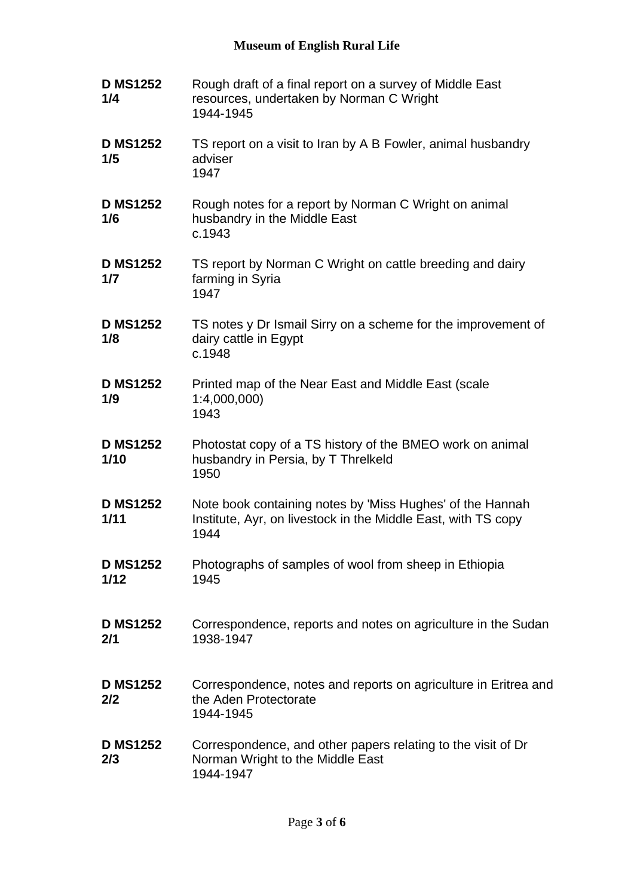### **Museum of English Rural Life**

| <b>D MS1252</b><br>1/4  | Rough draft of a final report on a survey of Middle East<br>resources, undertaken by Norman C Wright<br>1944-1945                  |
|-------------------------|------------------------------------------------------------------------------------------------------------------------------------|
| <b>D MS1252</b><br>1/5  | TS report on a visit to Iran by A B Fowler, animal husbandry<br>adviser<br>1947                                                    |
| <b>D MS1252</b><br>1/6  | Rough notes for a report by Norman C Wright on animal<br>husbandry in the Middle East<br>c.1943                                    |
| <b>D MS1252</b><br>1/7  | TS report by Norman C Wright on cattle breeding and dairy<br>farming in Syria<br>1947                                              |
| <b>D MS1252</b><br>1/8  | TS notes y Dr Ismail Sirry on a scheme for the improvement of<br>dairy cattle in Egypt<br>c.1948                                   |
| <b>D MS1252</b><br>1/9  | Printed map of the Near East and Middle East (scale<br>1:4,000,000<br>1943                                                         |
| <b>D MS1252</b><br>1/10 | Photostat copy of a TS history of the BMEO work on animal<br>husbandry in Persia, by T Threlkeld<br>1950                           |
| <b>D MS1252</b><br>1/11 | Note book containing notes by 'Miss Hughes' of the Hannah<br>Institute, Ayr, on livestock in the Middle East, with TS copy<br>1944 |
| <b>D MS1252</b><br>1/12 | Photographs of samples of wool from sheep in Ethiopia<br>1945                                                                      |
| <b>D MS1252</b><br>2/1  | Correspondence, reports and notes on agriculture in the Sudan<br>1938-1947                                                         |
| <b>D MS1252</b><br>2/2  | Correspondence, notes and reports on agriculture in Eritrea and<br>the Aden Protectorate<br>1944-1945                              |
| <b>D MS1252</b><br>2/3  | Correspondence, and other papers relating to the visit of Dr<br>Norman Wright to the Middle East<br>1944-1947                      |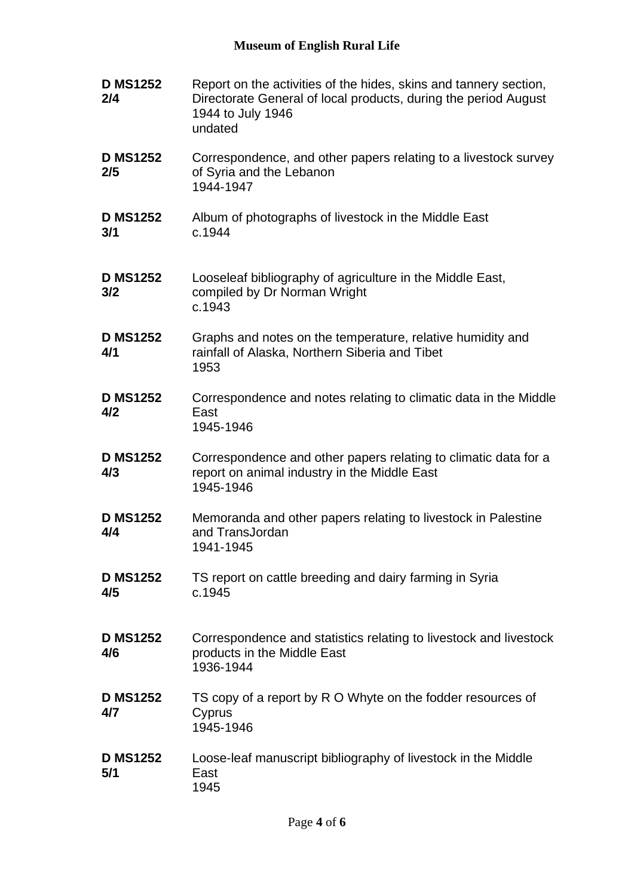### **Museum of English Rural Life**

| <b>D MS1252</b><br>2/4 | Report on the activities of the hides, skins and tannery section,<br>Directorate General of local products, during the period August<br>1944 to July 1946<br>undated |
|------------------------|----------------------------------------------------------------------------------------------------------------------------------------------------------------------|
| <b>D MS1252</b><br>2/5 | Correspondence, and other papers relating to a livestock survey<br>of Syria and the Lebanon<br>1944-1947                                                             |
| <b>D MS1252</b><br>3/1 | Album of photographs of livestock in the Middle East<br>c.1944                                                                                                       |
| <b>D MS1252</b><br>3/2 | Looseleaf bibliography of agriculture in the Middle East,<br>compiled by Dr Norman Wright<br>c.1943                                                                  |
| <b>D MS1252</b><br>4/1 | Graphs and notes on the temperature, relative humidity and<br>rainfall of Alaska, Northern Siberia and Tibet<br>1953                                                 |
| <b>D MS1252</b><br>4/2 | Correspondence and notes relating to climatic data in the Middle<br>East<br>1945-1946                                                                                |
| <b>D MS1252</b><br>4/3 | Correspondence and other papers relating to climatic data for a<br>report on animal industry in the Middle East<br>1945-1946                                         |
| <b>D MS1252</b><br>4/4 | Memoranda and other papers relating to livestock in Palestine<br>and TransJordan<br>1941-1945                                                                        |
| <b>D MS1252</b><br>4/5 | TS report on cattle breeding and dairy farming in Syria<br>c.1945                                                                                                    |
| <b>D MS1252</b><br>4/6 | Correspondence and statistics relating to livestock and livestock<br>products in the Middle East<br>1936-1944                                                        |
| <b>D MS1252</b><br>4/7 | TS copy of a report by R O Whyte on the fodder resources of<br>Cyprus<br>1945-1946                                                                                   |
| <b>D MS1252</b><br>5/1 | Loose-leaf manuscript bibliography of livestock in the Middle<br>East<br>1945                                                                                        |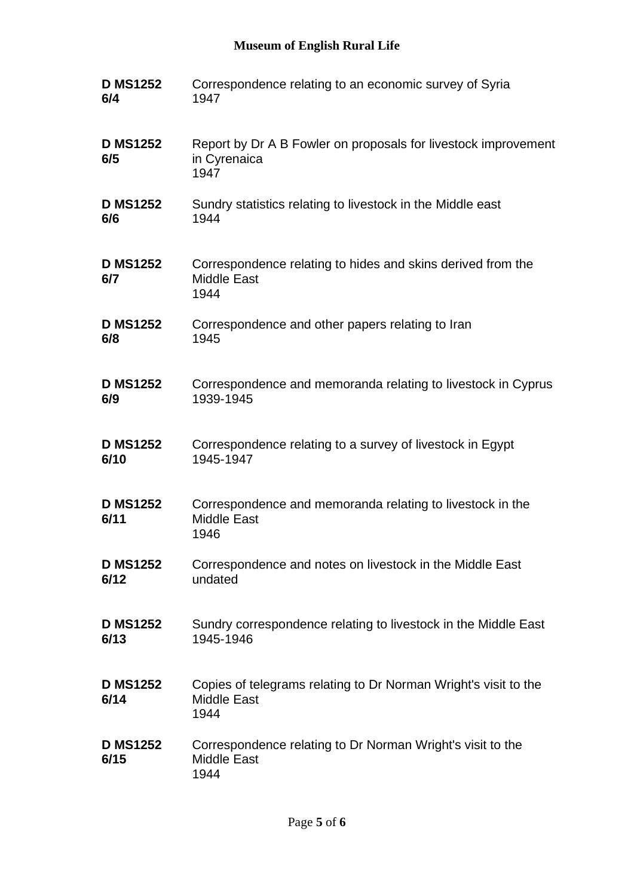### **Museum of English Rural Life**

| <b>D MS1252</b>         | Correspondence relating to an economic survey of Syria                                        |
|-------------------------|-----------------------------------------------------------------------------------------------|
| 6/4                     | 1947                                                                                          |
| <b>D MS1252</b><br>6/5  | Report by Dr A B Fowler on proposals for livestock improvement<br>in Cyrenaica<br>1947        |
| <b>D MS1252</b>         | Sundry statistics relating to livestock in the Middle east                                    |
| 6/6                     | 1944                                                                                          |
| <b>D MS1252</b><br>6/7  | Correspondence relating to hides and skins derived from the<br><b>Middle East</b><br>1944     |
| <b>D MS1252</b>         | Correspondence and other papers relating to Iran                                              |
| 6/8                     | 1945                                                                                          |
| <b>D MS1252</b>         | Correspondence and memoranda relating to livestock in Cyprus                                  |
| 6/9                     | 1939-1945                                                                                     |
| <b>D MS1252</b>         | Correspondence relating to a survey of livestock in Egypt                                     |
| 6/10                    | 1945-1947                                                                                     |
| <b>D MS1252</b><br>6/11 | Correspondence and memoranda relating to livestock in the<br><b>Middle East</b><br>1946       |
| <b>D MS1252</b>         | Correspondence and notes on livestock in the Middle East                                      |
| 6/12                    | undated                                                                                       |
| <b>D MS1252</b>         | Sundry correspondence relating to livestock in the Middle East                                |
| 6/13                    | 1945-1946                                                                                     |
| <b>D MS1252</b><br>6/14 | Copies of telegrams relating to Dr Norman Wright's visit to the<br><b>Middle East</b><br>1944 |
| <b>D MS1252</b><br>6/15 | Correspondence relating to Dr Norman Wright's visit to the<br><b>Middle East</b><br>1944      |